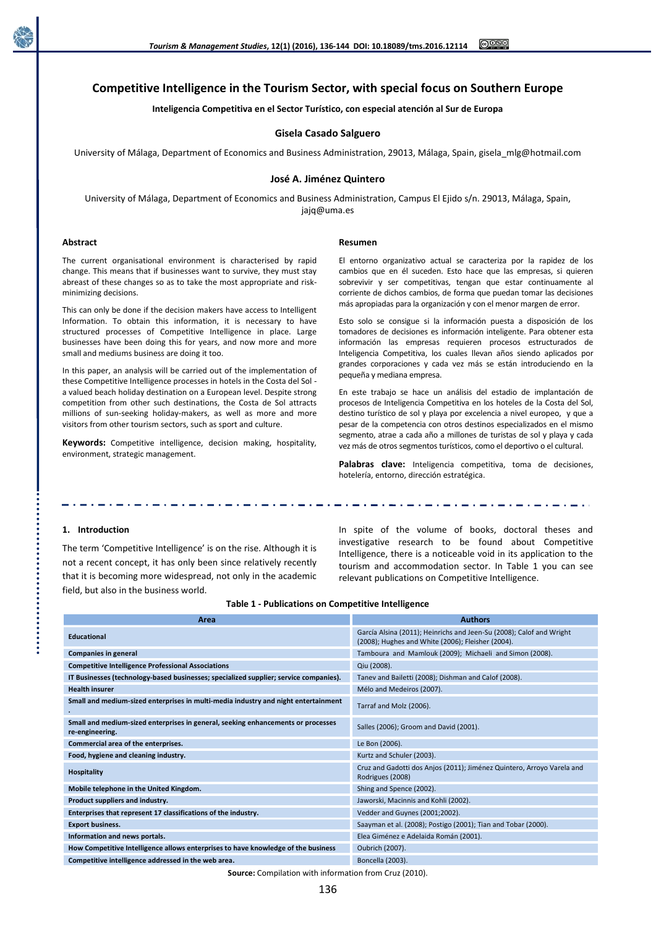

# **Competitive Intelligence in the Tourism Sector, with special focus on Southern Europe**

**Inteligencia Competitiva en el Sector Turístico, con especial atención al Sur de Europa**

## **Gisela Casado Salguero**

University of Málaga, Department of Economics and Business Administration, 29013, Málaga, Spain, gisela\_mlg@hotmail.com

#### **José A. Jiménez Quintero**

University of Málaga, Department of Economics and Business Administration, Campus El Ejido s/n. 29013, Málaga, Spain, jajq@uma.es

#### **Abstract**

#### **Resumen**

The current organisational environment is characterised by rapid change. This means that if businesses want to survive, they must stay abreast of these changes so as to take the most appropriate and riskminimizing decisions.

This can only be done if the decision makers have access to Intelligent Information. To obtain this information, it is necessary to have structured processes of Competitive Intelligence in place. Large businesses have been doing this for years, and now more and more small and mediums business are doing it too.

In this paper, an analysis will be carried out of the implementation of these Competitive Intelligence processes in hotels in the Costa del Sol a valued beach holiday destination on a European level. Despite strong competition from other such destinations, the Costa de Sol attracts millions of sun-seeking holiday-makers, as well as more and more visitors from other tourism sectors, such as sport and culture.

**Keywords:** Competitive intelligence, decision making, hospitality, environment, strategic management.

El entorno organizativo actual se caracteriza por la rapidez de los cambios que en él suceden. Esto hace que las empresas, si quieren sobrevivir y ser competitivas, tengan que estar continuamente al corriente de dichos cambios, de forma que puedan tomar las decisiones más apropiadas para la organización y con el menor margen de error.

Esto solo se consigue si la información puesta a disposición de los tomadores de decisiones es información inteligente. Para obtener esta información las empresas requieren procesos estructurados de Inteligencia Competitiva, los cuales llevan años siendo aplicados por grandes corporaciones y cada vez más se están introduciendo en la pequeña y mediana empresa.

En este trabajo se hace un análisis del estadio de implantación de procesos de Inteligencia Competitiva en los hoteles de la Costa del Sol, destino turístico de sol y playa por excelencia a nivel europeo, y que a pesar de la competencia con otros destinos especializados en el mismo segmento, atrae a cada año a millones de turistas de sol y playa y cada vez más de otros segmentos turísticos, como el deportivo o el cultural.

Palabras clave: Inteligencia competitiva, toma de decisiones, hotelería, entorno, dirección estratégica.

# **1. Introduction**

The term 'Competitive Intelligence' is on the rise. Although it is not a recent concept, it has only been since relatively recently that it is becoming more widespread, not only in the academic field, but also in the business world.

In spite of the volume of books, doctoral theses and investigative research to be found about Competitive Intelligence, there is a noticeable void in its application to the tourism and accommodation sector. In Table 1 you can see relevant publications on Competitive Intelligence.

| Area                                                                                                | <b>Authors</b>                                                                                                            |
|-----------------------------------------------------------------------------------------------------|---------------------------------------------------------------------------------------------------------------------------|
| <b>Educational</b>                                                                                  | García Alsina (2011); Heinrichs and Jeen-Su (2008); Calof and Wright<br>(2008); Hughes and White (2006); Fleisher (2004). |
| Companies in general                                                                                | Tamboura and Mamlouk (2009); Michaeli and Simon (2008).                                                                   |
| <b>Competitive Intelligence Professional Associations</b>                                           | Qiu (2008).                                                                                                               |
| IT Businesses (technology-based businesses; specialized supplier; service companies).               | Tanev and Bailetti (2008); Dishman and Calof (2008).                                                                      |
| <b>Health insurer</b>                                                                               | Mélo and Medeiros (2007).                                                                                                 |
| Small and medium-sized enterprises in multi-media industry and night entertainment                  | Tarraf and Molz (2006).                                                                                                   |
| Small and medium-sized enterprises in general, seeking enhancements or processes<br>re-engineering. | Salles (2006); Groom and David (2001).                                                                                    |
| Commercial area of the enterprises.                                                                 | Le Bon (2006).                                                                                                            |
| Food, hygiene and cleaning industry.                                                                | Kurtz and Schuler (2003).                                                                                                 |
| <b>Hospitality</b>                                                                                  | Cruz and Gadotti dos Anjos (2011); Jiménez Quintero, Arroyo Varela and<br>Rodrigues (2008)                                |
| Mobile telephone in the United Kingdom.                                                             | Shing and Spence (2002).                                                                                                  |
| Product suppliers and industry.                                                                     | Jaworski, Macinnis and Kohli (2002).                                                                                      |
| Enterprises that represent 17 classifications of the industry.                                      | Vedder and Guynes (2001;2002).                                                                                            |
| <b>Export business.</b>                                                                             | Saayman et al. (2008); Postigo (2001); Tian and Tobar (2000).                                                             |
| Information and news portals.                                                                       | Elea Giménez e Adelaida Román (2001).                                                                                     |
| How Competitive Intelligence allows enterprises to have knowledge of the business                   | Oubrich (2007).                                                                                                           |
| Competitive intelligence addressed in the web area.                                                 | Boncella (2003).                                                                                                          |

#### **Table 1 - Publications on Competitive Intelligence**

**Source:** Compilation with information from Cruz (2010).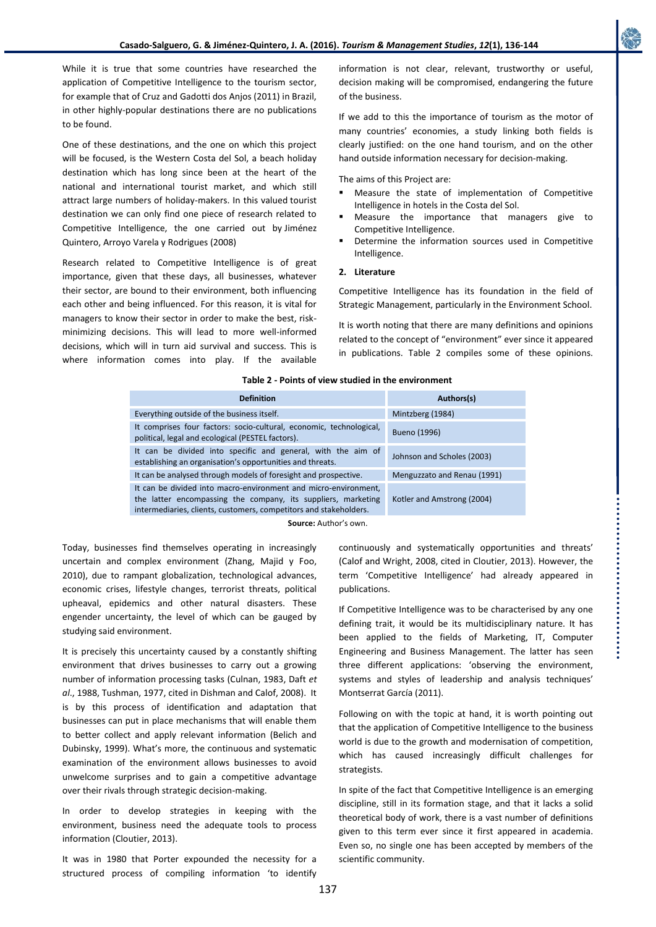While it is true that some countries have researched the application of Competitive Intelligence to the tourism sector, for example that of Cruz and Gadotti dos Anjos (2011) in Brazil, in other highly-popular destinations there are no publications to be found.

One of these destinations, and the one on which this project will be focused, is the Western Costa del Sol, a beach holiday destination which has long since been at the heart of the national and international tourist market, and which still attract large numbers of holiday-makers. In this valued tourist destination we can only find one piece of research related to Competitive Intelligence, the one carried out by Jiménez Quintero, Arroyo Varela y Rodrigues (2008)

Research related to Competitive Intelligence is of great importance, given that these days, all businesses, whatever their sector, are bound to their environment, both influencing each other and being influenced. For this reason, it is vital for managers to know their sector in order to make the best, riskminimizing decisions. This will lead to more well-informed decisions, which will in turn aid survival and success. This is where information comes into play. If the available

information is not clear, relevant, trustworthy or useful, decision making will be compromised, endangering the future of the business.

If we add to this the importance of tourism as the motor of many countries' economies, a study linking both fields is clearly justified: on the one hand tourism, and on the other hand outside information necessary for decision-making.

The aims of this Project are:

- Measure the state of implementation of Competitive Intelligence in hotels in the Costa del Sol.
- Measure the importance that managers give to Competitive Intelligence.
- Determine the information sources used in Competitive Intelligence.

# **2. Literature**

Competitive Intelligence has its foundation in the field of Strategic Management, particularly in the Environment School.

It is worth noting that there are many definitions and opinions related to the concept of "environment" ever since it appeared in publications. Table 2 compiles some of these opinions.

### **Table 2 - Points of view studied in the environment**

| <b>Definition</b>                                                                                                                                                                                     | Authors(s)                  |
|-------------------------------------------------------------------------------------------------------------------------------------------------------------------------------------------------------|-----------------------------|
| Everything outside of the business itself.                                                                                                                                                            | Mintzberg (1984)            |
| It comprises four factors: socio-cultural, economic, technological,<br>political, legal and ecological (PESTEL factors).                                                                              | Bueno (1996)                |
| It can be divided into specific and general, with the aim of<br>establishing an organisation's opportunities and threats.                                                                             | Johnson and Scholes (2003)  |
| It can be analysed through models of foresight and prospective.                                                                                                                                       | Menguzzato and Renau (1991) |
| It can be divided into macro-environment and micro-environment,<br>the latter encompassing the company, its suppliers, marketing<br>intermediaries, clients, customers, competitors and stakeholders. | Kotler and Amstrong (2004)  |
|                                                                                                                                                                                                       |                             |

**Source:** Author's own.

Today, businesses find themselves operating in increasingly uncertain and complex environment (Zhang, Majid y Foo, 2010), due to rampant globalization, technological advances, economic crises, lifestyle changes, terrorist threats, political upheaval, epidemics and other natural disasters. These engender uncertainty, the level of which can be gauged by studying said environment.

It is precisely this uncertainty caused by a constantly shifting environment that drives businesses to carry out a growing number of information processing tasks (Culnan, 1983, Daft *et al*., 1988, Tushman, 1977, cited in Dishman and Calof, 2008). It is by this process of identification and adaptation that businesses can put in place mechanisms that will enable them to better collect and apply relevant information (Belich and Dubinsky, 1999). What's more, the continuous and systematic examination of the environment allows businesses to avoid unwelcome surprises and to gain a competitive advantage over their rivals through strategic decision-making.

In order to develop strategies in keeping with the environment, business need the adequate tools to process information (Cloutier, 2013).

It was in 1980 that Porter expounded the necessity for a structured process of compiling information 'to identify continuously and systematically opportunities and threats' (Calof and Wright, 2008, cited in Cloutier, 2013). However, the term 'Competitive Intelligence' had already appeared in publications.

If Competitive Intelligence was to be characterised by any one defining trait, it would be its multidisciplinary nature. It has been applied to the fields of Marketing, IT, Computer Engineering and Business Management. The latter has seen three different applications: 'observing the environment, systems and styles of leadership and analysis techniques' Montserrat García (2011).

Following on with the topic at hand, it is worth pointing out that the application of Competitive Intelligence to the business world is due to the growth and modernisation of competition, which has caused increasingly difficult challenges for strategists.

In spite of the fact that Competitive Intelligence is an emerging discipline, still in its formation stage, and that it lacks a solid theoretical body of work, there is a vast number of definitions given to this term ever since it first appeared in academia. Even so, no single one has been accepted by members of the scientific community.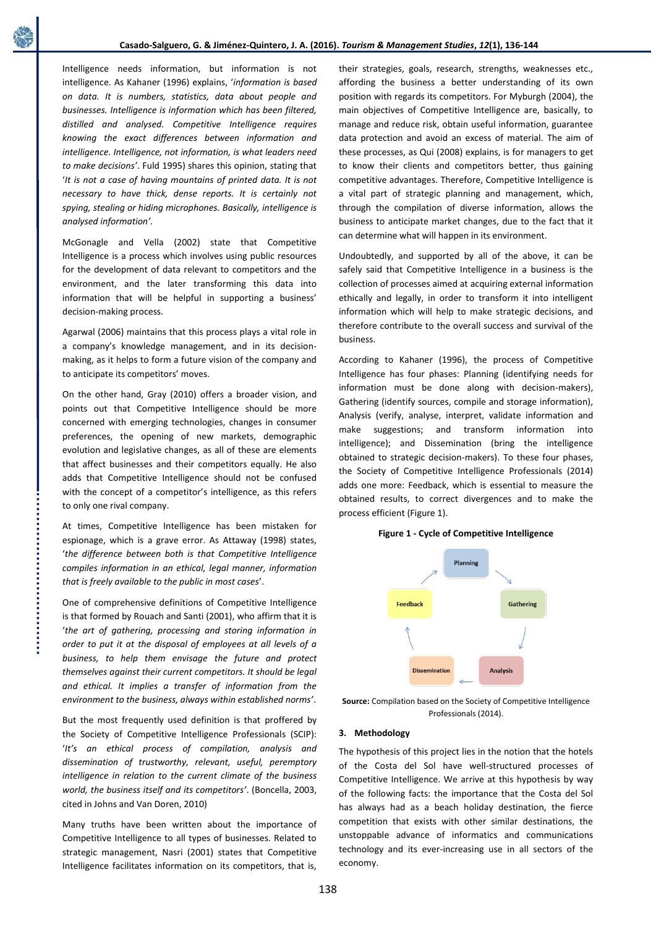Intelligence needs information, but information is not intelligence. As Kahaner (1996) explains, '*information is based on data. It is numbers, statistics, data about people and businesses. Intelligence is information which has been filtered, distilled and analysed. Competitive Intelligence requires knowing the exact differences between information and intelligence. Intelligence, not information, is what leaders need to make decisions'*. Fuld 1995) shares this opinion, stating that '*It is not a case of having mountains of printed data. It is not necessary to have thick, dense reports. It is certainly not spying, stealing or hiding microphones. Basically, intelligence is analysed information'.*

McGonagle and Vella (2002) state that Competitive Intelligence is a process which involves using public resources for the development of data relevant to competitors and the environment, and the later transforming this data into information that will be helpful in supporting a business' decision-making process.

Agarwal (2006) maintains that this process plays a vital role in a company's knowledge management, and in its decisionmaking, as it helps to form a future vision of the company and to anticipate its competitors' moves.

On the other hand, Gray (2010) offers a broader vision, and points out that Competitive Intelligence should be more concerned with emerging technologies, changes in consumer preferences, the opening of new markets, demographic evolution and legislative changes, as all of these are elements that affect businesses and their competitors equally. He also adds that Competitive Intelligence should not be confused with the concept of a competitor's intelligence, as this refers to only one rival company.

At times, Competitive Intelligence has been mistaken for espionage, which is a grave error. As Attaway (1998) states, '*the difference between both is that Competitive Intelligence compiles information in an ethical, legal manner, information that is freely available to the public in most cases*'.

One of comprehensive definitions of Competitive Intelligence is that formed by Rouach and Santi (2001), who affirm that it is '*the art of gathering, processing and storing information in order to put it at the disposal of employees at all levels of a business, to help them envisage the future and protect themselves against their current competitors. It should be legal and ethical. It implies a transfer of information from the environment to the business, always within established norms'*.

But the most frequently used definition is that proffered by the Society of Competitive Intelligence Professionals (SCIP): '*It's an ethical process of compilation, analysis and dissemination of trustworthy, relevant, useful, peremptory intelligence in relation to the current climate of the business world, the business itself and its competitors'*. (Boncella, 2003, cited in Johns and Van Doren, 2010)

Many truths have been written about the importance of Competitive Intelligence to all types of businesses. Related to strategic management, Nasri (2001) states that Competitive Intelligence facilitates information on its competitors, that is,

their strategies, goals, research, strengths, weaknesses etc., affording the business a better understanding of its own position with regards its competitors. For Myburgh (2004), the main objectives of Competitive Intelligence are, basically, to manage and reduce risk, obtain useful information, guarantee data protection and avoid an excess of material. The aim of these processes, as Qui (2008) explains, is for managers to get to know their clients and competitors better, thus gaining competitive advantages. Therefore, Competitive Intelligence is a vital part of strategic planning and management, which, through the compilation of diverse information, allows the business to anticipate market changes, due to the fact that it can determine what will happen in its environment.

Undoubtedly, and supported by all of the above, it can be safely said that Competitive Intelligence in a business is the collection of processes aimed at acquiring external information ethically and legally, in order to transform it into intelligent information which will help to make strategic decisions, and therefore contribute to the overall success and survival of the business.

According to Kahaner (1996), the process of Competitive Intelligence has four phases: Planning (identifying needs for information must be done along with decision-makers), Gathering (identify sources, compile and storage information), Analysis (verify, analyse, interpret, validate information and make suggestions; and transform information into intelligence); and Dissemination (bring the intelligence obtained to strategic decision-makers). To these four phases, the Society of Competitive Intelligence Professionals (2014) adds one more: Feedback, which is essential to measure the obtained results, to correct divergences and to make the process efficient (Figure 1).

# **Figure 1 - Cycle of Competitive Intelligence**



**Source:** Compilation based on the Society of Competitive Intelligence Professionals (2014).

# **3. Methodology**

The hypothesis of this project lies in the notion that the hotels of the Costa del Sol have well-structured processes of Competitive Intelligence. We arrive at this hypothesis by way of the following facts: the importance that the Costa del Sol has always had as a beach holiday destination, the fierce competition that exists with other similar destinations, the unstoppable advance of informatics and communications technology and its ever-increasing use in all sectors of the economy.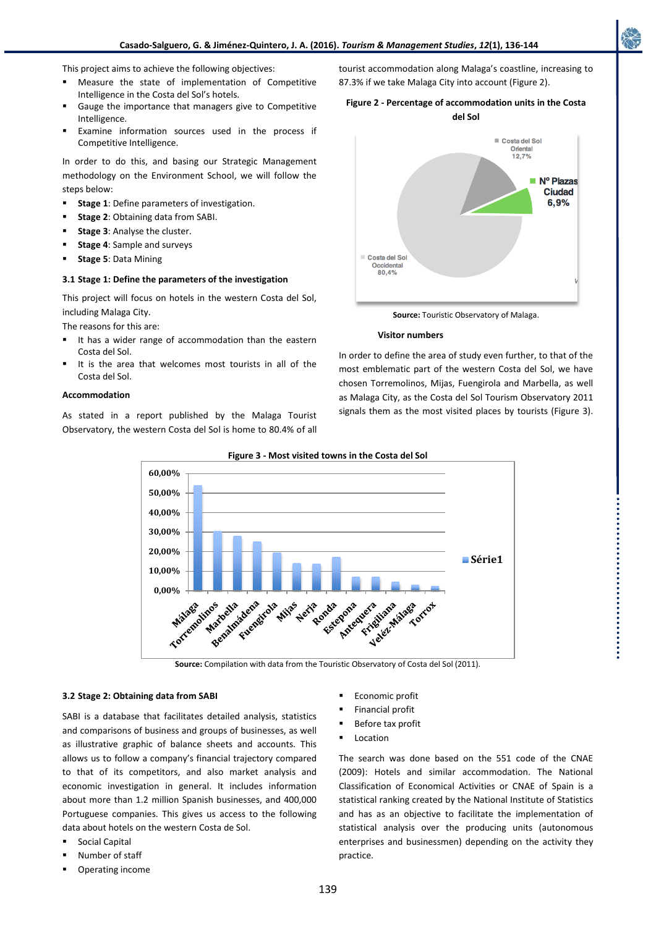This project aims to achieve the following objectives:

- Measure the state of implementation of Competitive Intelligence in the Costa del Sol's hotels.
- Gauge the importance that managers give to Competitive Intelligence.
- Examine information sources used in the process if Competitive Intelligence.

In order to do this, and basing our Strategic Management methodology on the Environment School, we will follow the steps below:

- **Stage 1**: Define parameters of investigation.
- **Stage 2**: Obtaining data from SABI.
- **Stage 3**: Analyse the cluster.
- **Stage 4**: Sample and surveys
- **Stage 5**: Data Mining

#### **3.1 Stage 1: Define the parameters of the investigation**

This project will focus on hotels in the western Costa del Sol, including Malaga City.

The reasons for this are:

- It has a wider range of accommodation than the eastern Costa del Sol.
- It is the area that welcomes most tourists in all of the Costa del Sol.

### **Accommodation**

As stated in a report published by the Malaga Tourist Observatory, the western Costa del Sol is home to 80.4% of all



tourist accommodation along Malaga's coastline, increasing to

87.3% if we take Malaga City into account (Figure 2).

**Source:** Touristic Observatory of Malaga.

#### **Visitor numbers**

In order to define the area of study even further, to that of the most emblematic part of the western Costa del Sol, we have chosen Torremolinos, Mijas, Fuengirola and Marbella, as well as Malaga City, as the Costa del Sol Tourism Observatory 2011 signals them as the most visited places by tourists (Figure 3).



**Figure 3 - Most visited towns in the Costa del Sol**

**Source:** Compilation with data from the Touristic Observatory of Costa del Sol (2011).

## **3.2 Stage 2: Obtaining data from SABI**

SABI is a database that facilitates detailed analysis, statistics and comparisons of business and groups of businesses, as well as illustrative graphic of balance sheets and accounts. This allows us to follow a company's financial trajectory compared to that of its competitors, and also market analysis and economic investigation in general. It includes information about more than 1.2 million Spanish businesses, and 400,000 Portuguese companies. This gives us access to the following data about hotels on the western Costa de Sol.

- Social Capital
- Number of staff
- Operating income
- Economic profit
- Financial profit
- Before tax profit
- Location

The search was done based on the 551 code of the CNAE (2009): Hotels and similar accommodation. The National Classification of Economical Activities or CNAE of Spain is a statistical ranking created by the National Institute of Statistics and has as an objective to facilitate the implementation of statistical analysis over the producing units (autonomous enterprises and businessmen) depending on the activity they practice.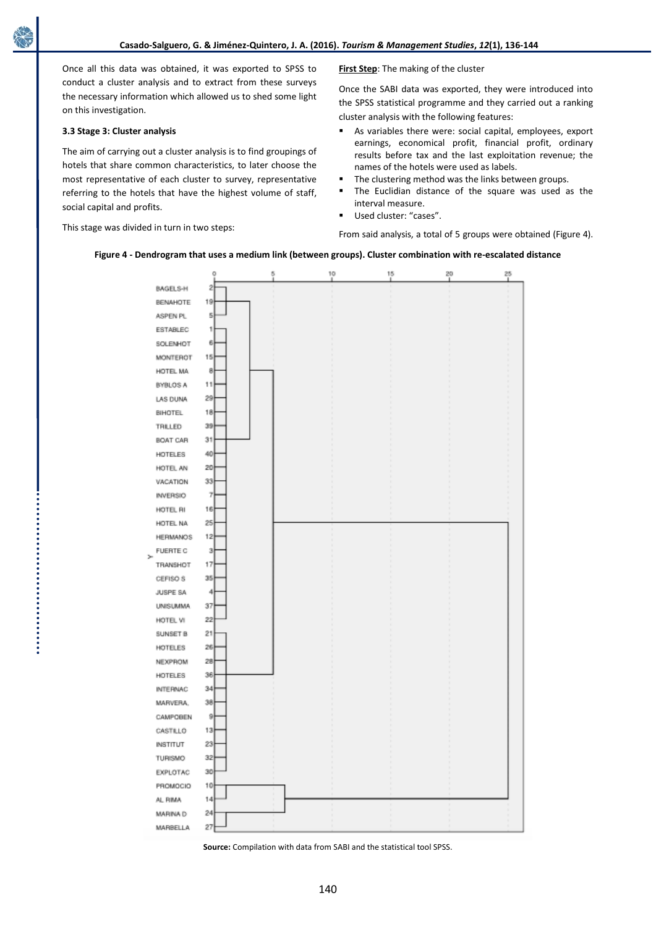Once all this data was obtained, it was exported to SPSS to conduct a cluster analysis and to extract from these surveys the necessary information which allowed us to shed some light on this investigation.

## **3.3 Stage 3: Cluster analysis**

The aim of carrying out a cluster analysis is to find groupings of hotels that share common characteristics, to later choose the most representative of each cluster to survey, representative referring to the hotels that have the highest volume of staff, social capital and profits.

This stage was divided in turn in two steps:

**First Step**: The making of the cluster

Once the SABI data was exported, they were introduced into the SPSS statistical programme and they carried out a ranking cluster analysis with the following features:

- As variables there were: social capital, employees, export earnings, economical profit, financial profit, ordinary results before tax and the last exploitation revenue; the names of the hotels were used as labels.
- The clustering method was the links between groups.
- The Euclidian distance of the square was used as the interval measure.
- Used cluster: "cases".

From said analysis, a total of 5 groups were obtained (Figure 4).

### **Figure 4 - Dendrogram that uses a medium link (between groups). Cluster combination with re-escalated distance**



**Source:** Compilation with data from SABI and the statistical tool SPSS.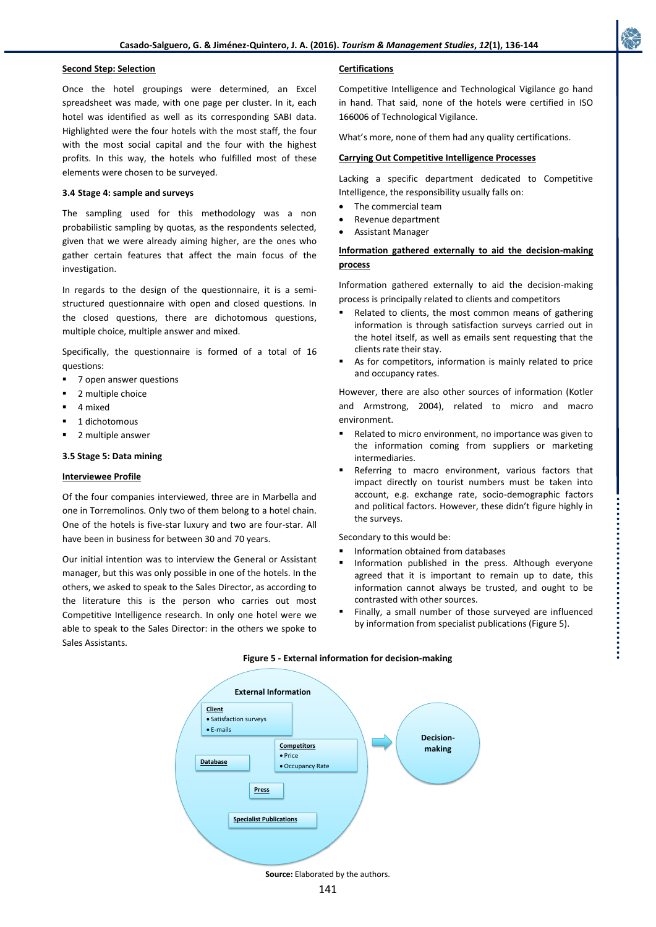## **Second Step: Selection**

Once the hotel groupings were determined, an Excel spreadsheet was made, with one page per cluster. In it, each hotel was identified as well as its corresponding SABI data. Highlighted were the four hotels with the most staff, the four with the most social capital and the four with the highest profits. In this way, the hotels who fulfilled most of these elements were chosen to be surveyed.

## **3.4 Stage 4: sample and surveys**

The sampling used for this methodology was a non probabilistic sampling by quotas, as the respondents selected, given that we were already aiming higher, are the ones who gather certain features that affect the main focus of the investigation.

In regards to the design of the questionnaire, it is a semistructured questionnaire with open and closed questions. In the closed questions, there are dichotomous questions, multiple choice, multiple answer and mixed.

Specifically, the questionnaire is formed of a total of 16 questions:

- 7 open answer questions
- 2 multiple choice
- 4 mixed
- 1 dichotomous
- 2 multiple answer

### **3.5 Stage 5: Data mining**

## **Interviewee Profile**

Of the four companies interviewed, three are in Marbella and one in Torremolinos. Only two of them belong to a hotel chain. One of the hotels is five-star luxury and two are four-star. All have been in business for between 30 and 70 years.

Our initial intention was to interview the General or Assistant manager, but this was only possible in one of the hotels. In the others, we asked to speak to the Sales Director, as according to the literature this is the person who carries out most Competitive Intelligence research. In only one hotel were we able to speak to the Sales Director: in the others we spoke to Sales Assistants.

## **Certifications**

Competitive Intelligence and Technological Vigilance go hand in hand. That said, none of the hotels were certified in ISO 166006 of Technological Vigilance.

What's more, none of them had any quality certifications.

## **Carrying Out Competitive Intelligence Processes**

Lacking a specific department dedicated to Competitive Intelligence, the responsibility usually falls on:

- The commercial team
- Revenue department
- Assistant Manager

# **Information gathered externally to aid the decision-making process**

Information gathered externally to aid the decision-making process is principally related to clients and competitors

- Related to clients, the most common means of gathering information is through satisfaction surveys carried out in the hotel itself, as well as emails sent requesting that the clients rate their stay.
- As for competitors, information is mainly related to price and occupancy rates.

However, there are also other sources of information (Kotler and Armstrong, 2004), related to micro and macro environment.

- Related to micro environment, no importance was given to the information coming from suppliers or marketing intermediaries.
- Referring to macro environment, various factors that impact directly on tourist numbers must be taken into account, e.g. exchange rate, socio-demographic factors and political factors. However, these didn't figure highly in the surveys.

Secondary to this would be:

- Information obtained from databases
- Information published in the press. Although everyone agreed that it is important to remain up to date, this information cannot always be trusted, and ought to be contrasted with other sources.
- Finally, a small number of those surveyed are influenced by information from specialist publications (Figure 5).



#### **Figure 5 - External information for decision-making**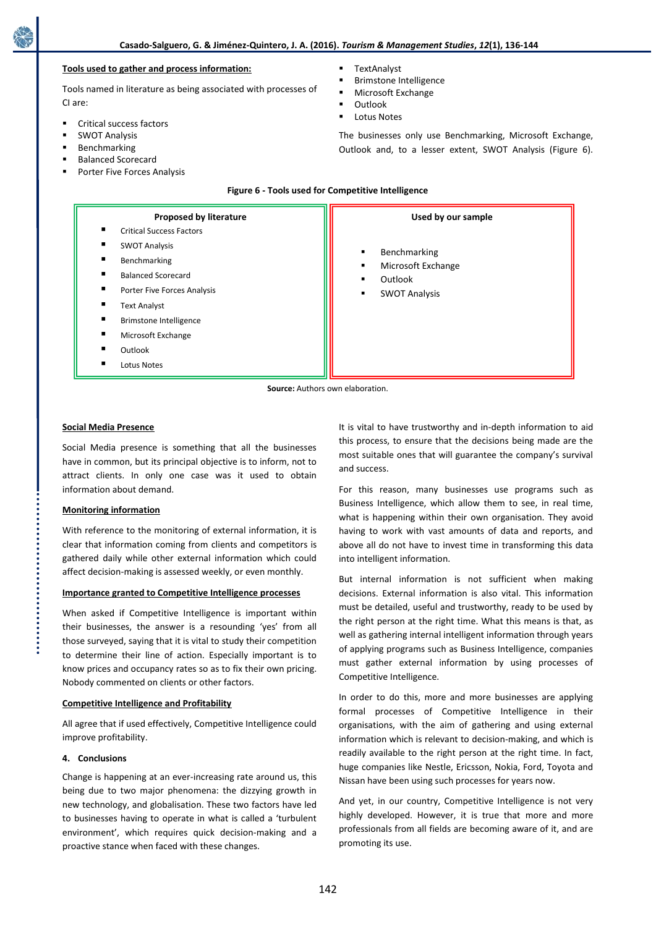# **Tools used to gather and process information:**

Tools named in literature as being associated with processes of CI are:

- Critical success factors
- SWOT Analysis
- Benchmarking
- Balanced Scorecard
- Porter Five Forces Analysis
- **TextAnalyst**
- Brimstone Intelligence
- Microsoft Exchange
- **Outlook**
- Lotus Notes

The businesses only use Benchmarking, Microsoft Exchange, Outlook and, to a lesser extent, SWOT Analysis (Figure 6).

| <b>Proposed by literature</b><br><b>Critical Success Factors</b>                                                                                                                                                             | Used by our sample                                                                                     |
|------------------------------------------------------------------------------------------------------------------------------------------------------------------------------------------------------------------------------|--------------------------------------------------------------------------------------------------------|
| п<br><b>SWOT Analysis</b><br>Benchmarking<br>▪<br>п<br><b>Balanced Scorecard</b><br>Porter Five Forces Analysis<br>п<br><b>Text Analyst</b><br><b>Brimstone Intelligence</b><br>Microsoft Exchange<br>Outlook<br>Lotus Notes | Benchmarking<br>$\blacksquare$<br>Microsoft Exchange<br>٠<br>Outlook<br>٠<br><b>SWOT Analysis</b><br>٠ |

**Figure 6 - Tools used for Competitive Intelligence**

**Source:** Authors own elaboration.

## **Social Media Presence**

Social Media presence is something that all the businesses have in common, but its principal objective is to inform, not to attract clients. In only one case was it used to obtain information about demand.

# **Monitoring information**

With reference to the monitoring of external information, it is clear that information coming from clients and competitors is gathered daily while other external information which could affect decision-making is assessed weekly, or even monthly.

## **Importance granted to Competitive Intelligence processes**

When asked if Competitive Intelligence is important within their businesses, the answer is a resounding 'yes' from all those surveyed, saying that it is vital to study their competition to determine their line of action. Especially important is to know prices and occupancy rates so as to fix their own pricing. Nobody commented on clients or other factors.

## **Competitive Intelligence and Profitability**

All agree that if used effectively, Competitive Intelligence could improve profitability.

#### **4. Conclusions**

Change is happening at an ever-increasing rate around us, this being due to two major phenomena: the dizzying growth in new technology, and globalisation. These two factors have led to businesses having to operate in what is called a 'turbulent environment', which requires quick decision-making and a proactive stance when faced with these changes.

It is vital to have trustworthy and in-depth information to aid this process, to ensure that the decisions being made are the most suitable ones that will guarantee the company's survival and success.

For this reason, many businesses use programs such as Business Intelligence, which allow them to see, in real time, what is happening within their own organisation. They avoid having to work with vast amounts of data and reports, and above all do not have to invest time in transforming this data into intelligent information.

But internal information is not sufficient when making decisions. External information is also vital. This information must be detailed, useful and trustworthy, ready to be used by the right person at the right time. What this means is that, as well as gathering internal intelligent information through years of applying programs such as Business Intelligence, companies must gather external information by using processes of Competitive Intelligence.

In order to do this, more and more businesses are applying formal processes of Competitive Intelligence in their organisations, with the aim of gathering and using external information which is relevant to decision-making, and which is readily available to the right person at the right time. In fact, huge companies like Nestle, Ericsson, Nokia, Ford, Toyota and Nissan have been using such processes for years now.

And yet, in our country, Competitive Intelligence is not very highly developed. However, it is true that more and more professionals from all fields are becoming aware of it, and are promoting its use.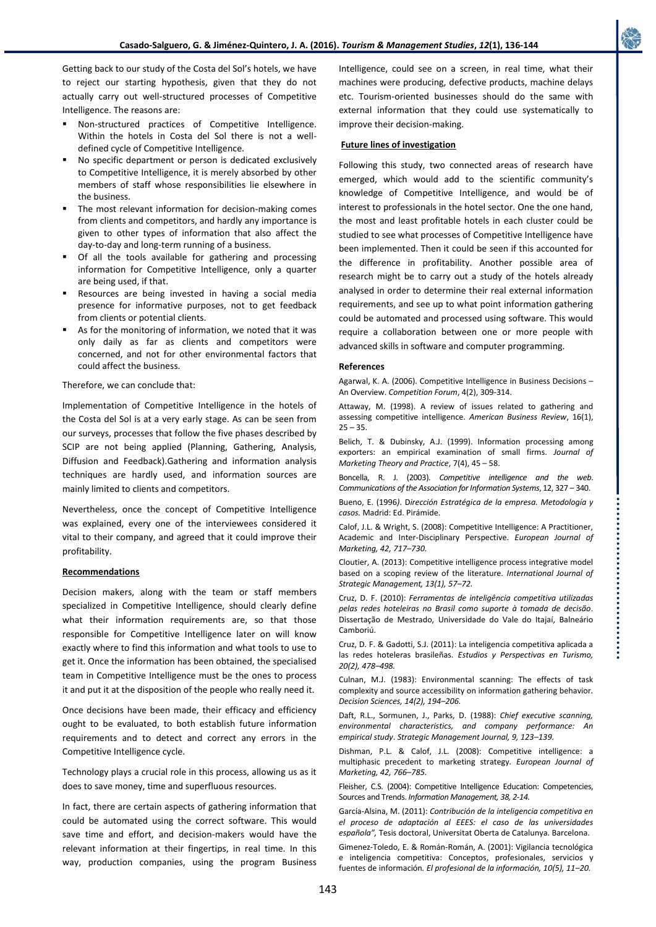Getting back to our study of the Costa del Sol's hotels, we have to reject our starting hypothesis, given that they do not actually carry out well-structured processes of Competitive Intelligence. The reasons are:

- Non-structured practices of Competitive Intelligence. Within the hotels in Costa del Sol there is not a welldefined cycle of Competitive Intelligence.
- No specific department or person is dedicated exclusively to Competitive Intelligence, it is merely absorbed by other members of staff whose responsibilities lie elsewhere in the business.
- The most relevant information for decision-making comes from clients and competitors, and hardly any importance is given to other types of information that also affect the day-to-day and long-term running of a business.
- Of all the tools available for gathering and processing information for Competitive Intelligence, only a quarter are being used, if that.
- Resources are being invested in having a social media presence for informative purposes, not to get feedback from clients or potential clients.
- As for the monitoring of information, we noted that it was only daily as far as clients and competitors were concerned, and not for other environmental factors that could affect the business.

Therefore, we can conclude that:

Implementation of Competitive Intelligence in the hotels of the Costa del Sol is at a very early stage. As can be seen from our surveys, processes that follow the five phases described by SCIP are not being applied (Planning, Gathering, Analysis, Diffusion and Feedback).Gathering and information analysis techniques are hardly used, and information sources are mainly limited to clients and competitors.

Nevertheless, once the concept of Competitive Intelligence was explained, every one of the interviewees considered it vital to their company, and agreed that it could improve their profitability.

# **Recommendations**

Decision makers, along with the team or staff members specialized in Competitive Intelligence, should clearly define what their information requirements are, so that those responsible for Competitive Intelligence later on will know exactly where to find this information and what tools to use to get it. Once the information has been obtained, the specialised team in Competitive Intelligence must be the ones to process it and put it at the disposition of the people who really need it.

Once decisions have been made, their efficacy and efficiency ought to be evaluated, to both establish future information requirements and to detect and correct any errors in the Competitive Intelligence cycle.

Technology plays a crucial role in this process, allowing us as it does to save money, time and superfluous resources.

In fact, there are certain aspects of gathering information that could be automated using the correct software. This would save time and effort, and decision-makers would have the relevant information at their fingertips, in real time. In this way, production companies, using the program Business Intelligence, could see on a screen, in real time, what their machines were producing, defective products, machine delays etc. Tourism-oriented businesses should do the same with external information that they could use systematically to improve their decision-making.

## **Future lines of investigation**

Following this study, two connected areas of research have emerged, which would add to the scientific community's knowledge of Competitive Intelligence, and would be of interest to professionals in the hotel sector. One the one hand, the most and least profitable hotels in each cluster could be studied to see what processes of Competitive Intelligence have been implemented. Then it could be seen if this accounted for the difference in profitability. Another possible area of research might be to carry out a study of the hotels already analysed in order to determine their real external information requirements, and see up to what point information gathering could be automated and processed using software. This would require a collaboration between one or more people with advanced skills in software and computer programming.

#### **References**

Agarwal, K. A. (2006). Competitive Intelligence in Business Decisions – An Overview. *Competition Forum*, 4(2), 309-314.

Attaway, M. (1998). A review of issues related to gathering and assessing competitive intelligence. *American Business Review*, 16(1),  $25 - 35.$ 

Belich, T. & Dubinsky, A.J. (1999). Information processing among exporters: an empirical examination of small firms. *Journal of Marketing Theory and Practice*, 7(4), 45 – 58.

Boncella, R. J. (2003). *Competitive intelligence and the web*. *Communications of the Association for Information Systems*, 12, 327 – 340.

Bueno, E. (1996*)*. D*irección Estratégica de la empresa. Metodología y casos.* Madrid: Ed. Pirámide.

Calof, J.L. & Wright, S. (2008): Competitive Intelligence: A Practitioner, Academic and Inter-Disciplinary Perspective. *European Journal of Marketing, 42, 717–730.*

Cloutier, A. (2013): Competitive intelligence process integrative model based on a scoping review of the literature. *International Journal of Strategic Management, 13(1), 57–72.*

Cruz, D. F. (2010): *Ferramentas de inteligência competitiva utilizadas pelas redes hoteleiras no Brasil como suporte à tomada de decisão*. Dissertação de Mestrado, Universidade do Vale do Itajaí, Balneário Camboriú.

Cruz, D. F. & Gadotti, S.J. (2011): La inteligencia competitiva aplicada a las redes hoteleras brasileñas. *Estudios y Perspectivas en Turismo, 20(2), 478–498.*

Culnan, M.J. (1983): Environmental scanning: The effects of task complexity and source accessibility on information gathering behavior*. Decision Sciences, 14(2), 194–206.*

Daft, R.L., Sormunen, J., Parks, D. (1988): *Chief executive scanning, environmental characteristics, and company performance: An empirical study*. *Strategic Management Journal, 9, 123–139.*

Dishman, P.L. & Calof, J.L. (2008): Competitive intelligence: a multiphasic precedent to marketing strategy*. European Journal of Marketing, 42, 766–785.*

Fleisher, C.S. (2004): Competitive Intelligence Education: Competencies, Sources and Trends. *Information Management, 38, 2-14.*

García-Alsina, M. (2011): *Contribución de la inteligencia competitiva en el proceso de adaptación al EEES: el caso de las universidades española",* Tesis doctoral, Universitat Oberta de Catalunya. Barcelona.

Gimenez-Toledo, E. & Román-Román, A. (2001): Vigilancia tecnológica e inteligencia competitiva: Conceptos, profesionales, servicios y fuentes de información*. El profesional de la información, 10(5), 11–20.*